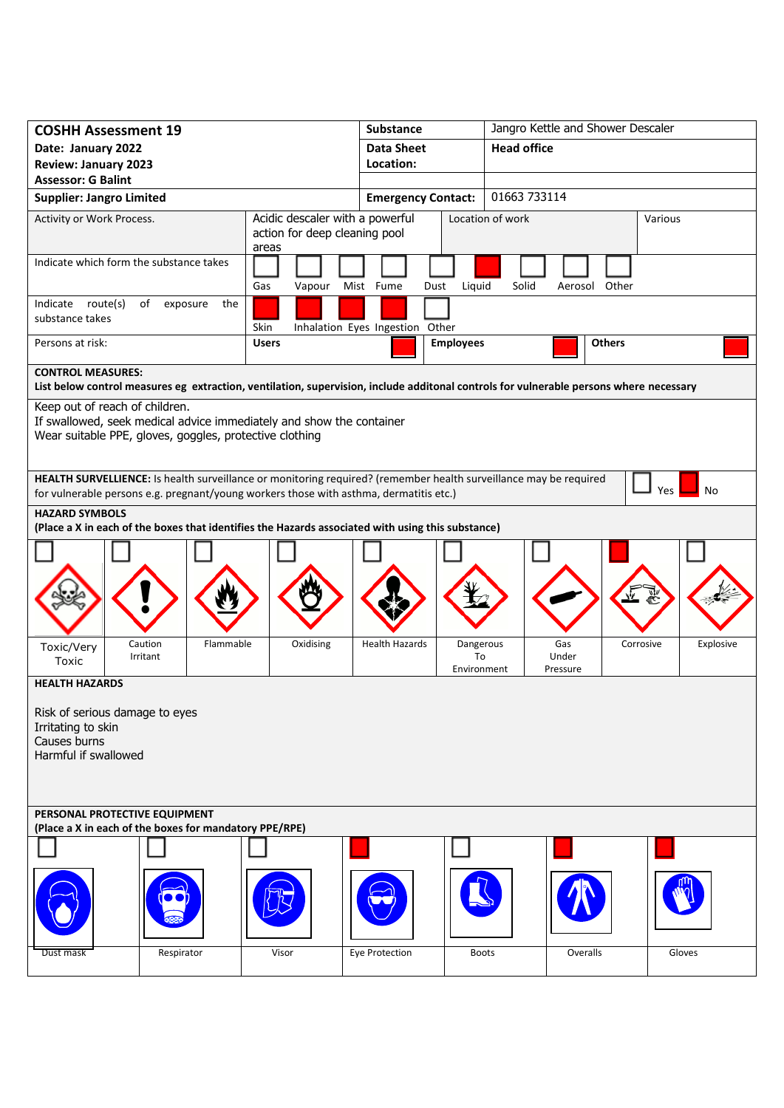| <b>COSHH Assessment 19</b>                                                                                                                                                                                                      |               | <b>Substance</b>                |                                | Jangro Kettle and Shower Descaler |               |           |
|---------------------------------------------------------------------------------------------------------------------------------------------------------------------------------------------------------------------------------|---------------|---------------------------------|--------------------------------|-----------------------------------|---------------|-----------|
| Date: January 2022                                                                                                                                                                                                              |               | <b>Data Sheet</b>               |                                | <b>Head office</b>                |               |           |
| <b>Review: January 2023</b>                                                                                                                                                                                                     |               | Location:                       |                                |                                   |               |           |
| <b>Assessor: G Balint</b>                                                                                                                                                                                                       |               |                                 |                                |                                   |               |           |
| <b>Supplier: Jangro Limited</b>                                                                                                                                                                                                 |               | <b>Emergency Contact:</b>       |                                | 01663 733114                      |               |           |
| Acidic descaler with a powerful<br>Activity or Work Process.<br>action for deep cleaning pool<br>areas                                                                                                                          |               |                                 |                                | Location of work                  |               | Various   |
| Indicate which form the substance takes                                                                                                                                                                                         | Gas<br>Vapour | Mist Fume<br>Dust               | Liquid                         | Solid                             | Aerosol Other |           |
| Indicate route(s)<br>of exposure<br>the<br>substance takes                                                                                                                                                                      | Skin          | Inhalation Eyes Ingestion Other |                                |                                   |               |           |
| Persons at risk:                                                                                                                                                                                                                | <b>Users</b>  |                                 | <b>Employees</b>               |                                   | <b>Others</b> |           |
| <b>CONTROL MEASURES:</b>                                                                                                                                                                                                        |               |                                 |                                |                                   |               |           |
| List below control measures eg extraction, ventilation, supervision, include additonal controls for vulnerable persons where necessary                                                                                          |               |                                 |                                |                                   |               |           |
| Keep out of reach of children.<br>If swallowed, seek medical advice immediately and show the container<br>Wear suitable PPE, gloves, goggles, protective clothing                                                               |               |                                 |                                |                                   |               |           |
| HEALTH SURVELLIENCE: Is health surveillance or monitoring required? (remember health surveillance may be required<br><b>Yes</b><br>No<br>for vulnerable persons e.g. pregnant/young workers those with asthma, dermatitis etc.) |               |                                 |                                |                                   |               |           |
| <b>HAZARD SYMBOLS</b>                                                                                                                                                                                                           |               |                                 |                                |                                   |               |           |
| (Place a X in each of the boxes that identifies the Hazards associated with using this substance)                                                                                                                               |               |                                 |                                |                                   |               |           |
|                                                                                                                                                                                                                                 |               |                                 |                                |                                   |               |           |
|                                                                                                                                                                                                                                 |               |                                 |                                |                                   |               |           |
| Caution<br>Flammable<br>Toxic/Very<br>Irritant<br>Toxic                                                                                                                                                                         | Oxidising     | <b>Health Hazards</b>           | Dangerous<br>To<br>Environment | Gas<br>Under<br>Pressure          | Corrosive     | Explosive |
| <b>HEALTH HAZARDS</b>                                                                                                                                                                                                           |               |                                 |                                |                                   |               |           |
| Risk of serious damage to eyes<br>Irritating to skin<br>Causes burns<br>Harmful if swallowed                                                                                                                                    |               |                                 |                                |                                   |               |           |
| PERSONAL PROTECTIVE EQUIPMENT                                                                                                                                                                                                   |               |                                 |                                |                                   |               |           |
| (Place a X in each of the boxes for mandatory PPE/RPE)                                                                                                                                                                          |               |                                 |                                |                                   |               |           |
|                                                                                                                                                                                                                                 |               |                                 |                                |                                   |               |           |
| Respirator<br>Dust mask                                                                                                                                                                                                         | Visor         | Eye Protection                  | <b>Boots</b>                   |                                   | Overalls      | Gloves    |